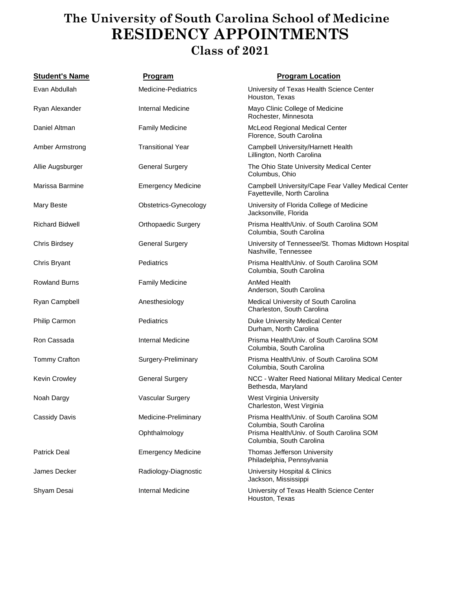#### **The University of South Carolina School of Medicine RESIDENCY APPOINTMENTS Class of 2021**

| <b>Student's Name</b>  | <u>Program</u>             | <b>Program Location</b>                                                             |
|------------------------|----------------------------|-------------------------------------------------------------------------------------|
| Evan Abdullah          | Medicine-Pediatrics        | University of Texas Health Science Center<br>Houston, Texas                         |
| Ryan Alexander         | Internal Medicine          | Mayo Clinic College of Medicine<br>Rochester, Minnesota                             |
| Daniel Altman          | <b>Family Medicine</b>     | McLeod Regional Medical Center<br>Florence, South Carolina                          |
| Amber Armstrong        | <b>Transitional Year</b>   | Campbell University/Harnett Health<br>Lillington, North Carolina                    |
| Allie Augsburger       | <b>General Surgery</b>     | The Ohio State University Medical Center<br>Columbus, Ohio                          |
| Marissa Barmine        | <b>Emergency Medicine</b>  | Campbell University/Cape Fear Valley Medical Center<br>Fayetteville, North Carolina |
| Mary Beste             | Obstetrics-Gynecology      | University of Florida College of Medicine<br>Jacksonville, Florida                  |
| <b>Richard Bidwell</b> | <b>Orthopaedic Surgery</b> | Prisma Health/Univ. of South Carolina SOM<br>Columbia, South Carolina               |
| Chris Birdsey          | <b>General Surgery</b>     | University of Tennessee/St. Thomas Midtown Hospital<br>Nashville, Tennessee         |
| Chris Bryant           | Pediatrics                 | Prisma Health/Univ. of South Carolina SOM<br>Columbia, South Carolina               |
| <b>Rowland Burns</b>   | <b>Family Medicine</b>     | AnMed Health<br>Anderson, South Carolina                                            |
| Ryan Campbell          | Anesthesiology             | Medical University of South Carolina<br>Charleston, South Carolina                  |
| Philip Carmon          | Pediatrics                 | Duke University Medical Center<br>Durham, North Carolina                            |
| Ron Cassada            | Internal Medicine          | Prisma Health/Univ. of South Carolina SOM<br>Columbia, South Carolina               |
| <b>Tommy Crafton</b>   | Surgery-Preliminary        | Prisma Health/Univ. of South Carolina SOM<br>Columbia, South Carolina               |
| <b>Kevin Crowley</b>   | <b>General Surgery</b>     | NCC - Walter Reed National Military Medical Center<br>Bethesda, Maryland            |
| Noah Dargy             | Vascular Surgery           | West Virginia University<br>Charleston, West Virginia                               |
| Cassidy Davis          | Medicine-Preliminary       | Prisma Health/Univ. of South Carolina SOM<br>Columbia, South Carolina               |
|                        | Ophthalmology              | Prisma Health/Univ. of South Carolina SOM<br>Columbia, South Carolina               |
| <b>Patrick Deal</b>    | <b>Emergency Medicine</b>  | Thomas Jefferson University<br>Philadelphia, Pennsylvania                           |
| James Decker           | Radiology-Diagnostic       | University Hospital & Clinics<br>Jackson, Mississippi                               |
| Shyam Desai            | Internal Medicine          | University of Texas Health Science Center<br>Houston, Texas                         |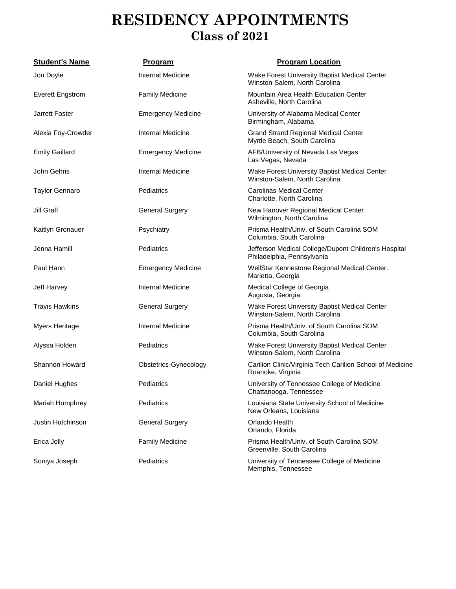| <b>Student's Name</b>   | <u>Program</u>            | <b>Program Location</b>                                                            |
|-------------------------|---------------------------|------------------------------------------------------------------------------------|
| Jon Doyle               | <b>Internal Medicine</b>  | Wake Forest University Baptist Medical Center<br>Winston-Salem, North Carolina     |
| <b>Everett Engstrom</b> | <b>Family Medicine</b>    | Mountain Area Health Education Center<br>Asheville, North Carolina                 |
| <b>Jarrett Foster</b>   | <b>Emergency Medicine</b> | University of Alabama Medical Center<br>Birmingham, Alabama                        |
| Alexia Foy-Crowder      | Internal Medicine         | <b>Grand Strand Regional Medical Center</b><br>Myrtle Beach, South Carolina        |
| <b>Emily Gaillard</b>   | <b>Emergency Medicine</b> | AFB/University of Nevada Las Vegas<br>Las Vegas, Nevada                            |
| John Gehris             | <b>Internal Medicine</b>  | Wake Forest University Baptist Medical Center<br>Winston-Salem, North Carolina     |
| <b>Taylor Gennaro</b>   | Pediatrics                | <b>Carolinas Medical Center</b><br>Charlotte, North Carolina                       |
| Jill Graff              | <b>General Surgery</b>    | New Hanover Regional Medical Center<br>Wilmington, North Carolina                  |
| Kaitlyn Gronauer        | Psychiatry                | Prisma Health/Univ. of South Carolina SOM<br>Columbia, South Carolina              |
| Jenna Hamill            | Pediatrics                | Jefferson Medical College/Dupont Children's Hospital<br>Philadelphia, Pennsylvania |
| Paul Hann               | <b>Emergency Medicine</b> | WellStar Kennestone Regional Medical Center.<br>Marietta, Georgia                  |
| Jeff Harvey             | Internal Medicine         | Medical College of Georgia<br>Augusta, Georgia                                     |
| <b>Travis Hawkins</b>   | <b>General Surgery</b>    | Wake Forest University Baptist Medical Center<br>Winston-Salem, North Carolina     |
| Myers Heritage          | Internal Medicine         | Prisma Health/Univ. of South Carolina SOM<br>Columbia, South Carolina              |
| Alyssa Holden           | Pediatrics                | Wake Forest University Baptist Medical Center<br>Winston-Salem, North Carolina     |
| Shannon Howard          | Obstetrics-Gynecology     | Carilion Clinic/Virginia Tech Carilion School of Medicine<br>Roanoke, Virginia     |
| Daniel Hughes           | Pediatrics                | University of Tennessee College of Medicine<br>Chattanooga, Tennessee              |
| Mariah Humphrey         | Pediatrics                | Louisiana State University School of Medicine<br>New Orleans, Louisiana            |
| Justin Hutchinson       | <b>General Surgery</b>    | Orlando Health<br>Orlando, Florida                                                 |
| Erica Jolly             | <b>Family Medicine</b>    | Prisma Health/Univ. of South Carolina SOM<br>Greenville, South Carolina            |
| Soniya Joseph           | Pediatrics                | University of Tennessee College of Medicine<br>Memphis, Tennessee                  |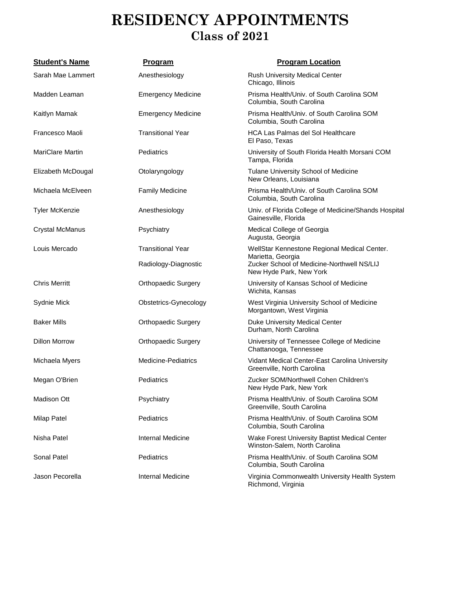| <b>Student's Name</b>   | <b>Program</b>             | <b>Program Location</b>                                                        |
|-------------------------|----------------------------|--------------------------------------------------------------------------------|
| Sarah Mae Lammert       | Anesthesiology             | Rush University Medical Center<br>Chicago, Illinois                            |
| Madden Leaman           | <b>Emergency Medicine</b>  | Prisma Health/Univ. of South Carolina SOM<br>Columbia, South Carolina          |
| Kaitlyn Mamak           | <b>Emergency Medicine</b>  | Prisma Health/Univ. of South Carolina SOM<br>Columbia, South Carolina          |
| Francesco Maoli         | <b>Transitional Year</b>   | <b>HCA Las Palmas del Sol Healthcare</b><br>El Paso, Texas                     |
| <b>MariClare Martin</b> | Pediatrics                 | University of South Florida Health Morsani COM<br>Tampa, Florida               |
| Elizabeth McDougal      | Otolaryngology             | Tulane University School of Medicine<br>New Orleans, Louisiana                 |
| Michaela McElveen       | <b>Family Medicine</b>     | Prisma Health/Univ. of South Carolina SOM<br>Columbia, South Carolina          |
| <b>Tyler McKenzie</b>   | Anesthesiology             | Univ. of Florida College of Medicine/Shands Hospital<br>Gainesville, Florida   |
| <b>Crystal McManus</b>  | Psychiatry                 | Medical College of Georgia<br>Augusta, Georgia                                 |
| Louis Mercado           | <b>Transitional Year</b>   | WellStar Kennestone Regional Medical Center.<br>Marietta, Georgia              |
|                         | Radiology-Diagnostic       | Zucker School of Medicine-Northwell NS/LIJ<br>New Hyde Park, New York          |
| <b>Chris Merritt</b>    | <b>Orthopaedic Surgery</b> | University of Kansas School of Medicine<br>Wichita, Kansas                     |
| Sydnie Mick             | Obstetrics-Gynecology      | West Virginia University School of Medicine<br>Morgantown, West Virginia       |
| <b>Baker Mills</b>      | <b>Orthopaedic Surgery</b> | Duke University Medical Center<br>Durham, North Carolina                       |
| <b>Dillon Morrow</b>    | <b>Orthopaedic Surgery</b> | University of Tennessee College of Medicine<br>Chattanooga, Tennessee          |
| Michaela Myers          | Medicine-Pediatrics        | Vidant Medical Center-East Carolina University<br>Greenville, North Carolina   |
| Megan O'Brien           | Pediatrics                 | Zucker SOM/Northwell Cohen Children's<br>New Hyde Park, New York               |
| <b>Madison Ott</b>      | Psychiatry                 | Prisma Health/Univ. of South Carolina SOM<br>Greenville, South Carolina        |
| <b>Milap Patel</b>      | Pediatrics                 | Prisma Health/Univ. of South Carolina SOM<br>Columbia, South Carolina          |
| Nisha Patel             | <b>Internal Medicine</b>   | Wake Forest University Baptist Medical Center<br>Winston-Salem, North Carolina |
| <b>Sonal Patel</b>      | Pediatrics                 | Prisma Health/Univ. of South Carolina SOM<br>Columbia, South Carolina          |
| Jason Pecorella         | <b>Internal Medicine</b>   | Virginia Commonwealth University Health System<br>Richmond, Virginia           |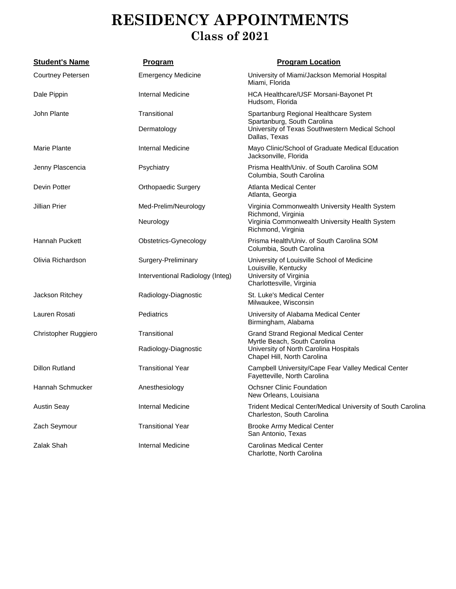| <b>Student's Name</b>    | <b>Program</b>                   | <b>Program Location</b>                                                                         |
|--------------------------|----------------------------------|-------------------------------------------------------------------------------------------------|
| <b>Courtney Petersen</b> | <b>Emergency Medicine</b>        | University of Miami/Jackson Memorial Hospital<br>Miami, Florida                                 |
| Dale Pippin              | Internal Medicine                | HCA Healthcare/USF Morsani-Bayonet Pt<br>Hudsom, Florida                                        |
| John Plante              | Transitional                     | Spartanburg Regional Healthcare System                                                          |
|                          | Dermatology                      | Spartanburg, South Carolina<br>University of Texas Southwestern Medical School<br>Dallas, Texas |
| Marie Plante             | Internal Medicine                | Mayo Clinic/School of Graduate Medical Education<br>Jacksonville, Florida                       |
| Jenny Plascencia         | Psychiatry                       | Prisma Health/Univ. of South Carolina SOM<br>Columbia, South Carolina                           |
| Devin Potter             | <b>Orthopaedic Surgery</b>       | <b>Atlanta Medical Center</b><br>Atlanta, Georgia                                               |
| <b>Jillian Prier</b>     | Med-Prelim/Neurology             | Virginia Commonwealth University Health System                                                  |
|                          | Richmond, Virginia<br>Neurology  | Virginia Commonwealth University Health System<br>Richmond, Virginia                            |
| Hannah Puckett           | Obstetrics-Gynecology            | Prisma Health/Univ. of South Carolina SOM<br>Columbia, South Carolina                           |
| Olivia Richardson        | Surgery-Preliminary              | University of Louisville School of Medicine<br>Louisville, Kentucky                             |
|                          | Interventional Radiology (Integ) | University of Virginia<br>Charlottesville, Virginia                                             |
| Jackson Ritchey          | Radiology-Diagnostic             | St. Luke's Medical Center<br>Milwaukee, Wisconsin                                               |
| Lauren Rosati            | Pediatrics                       | University of Alabama Medical Center<br>Birmingham, Alabama                                     |
| Christopher Ruggiero     | Transitional                     | <b>Grand Strand Regional Medical Center</b><br>Myrtle Beach, South Carolina                     |
|                          | Radiology-Diagnostic             | University of North Carolina Hospitals<br>Chapel Hill, North Carolina                           |
| <b>Dillon Rutland</b>    | <b>Transitional Year</b>         | Campbell University/Cape Fear Valley Medical Center<br>Fayetteville, North Carolina             |
| Hannah Schmucker         | Anesthesiology                   | <b>Ochsner Clinic Foundation</b><br>New Orleans, Louisiana                                      |
| <b>Austin Seay</b>       | Internal Medicine                | Trident Medical Center/Medical University of South Carolina<br>Charleston, South Carolina       |
| Zach Seymour             | <b>Transitional Year</b>         | <b>Brooke Army Medical Center</b><br>San Antonio, Texas                                         |
| Zalak Shah               | Internal Medicine                | <b>Carolinas Medical Center</b><br>Charlotte, North Carolina                                    |